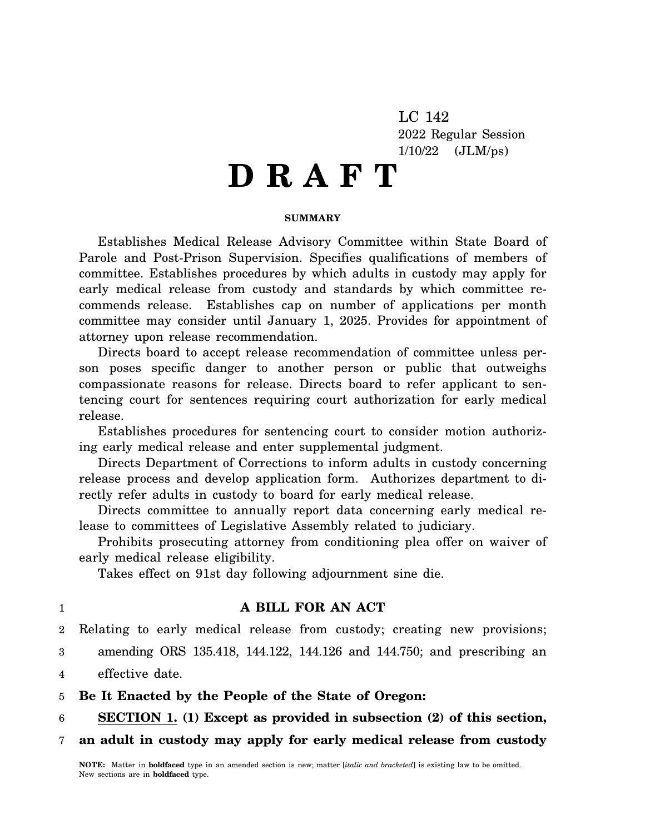LC 142 2022 Regular Session 1/10/22 (JLM/ps)

# **D R A F T**

#### **SUMMARY**

Establishes Medical Release Advisory Committee within State Board of Parole and Post-Prison Supervision. Specifies qualifications of members of committee. Establishes procedures by which adults in custody may apply for early medical release from custody and standards by which committee recommends release. Establishes cap on number of applications per month committee may consider until January 1, 2025. Provides for appointment of attorney upon release recommendation.

Directs board to accept release recommendation of committee unless person poses specific danger to another person or public that outweighs compassionate reasons for release. Directs board to refer applicant to sentencing court for sentences requiring court authorization for early medical release.

Establishes procedures for sentencing court to consider motion authorizing early medical release and enter supplemental judgment.

Directs Department of Corrections to inform adults in custody concerning release process and develop application form. Authorizes department to directly refer adults in custody to board for early medical release.

Directs committee to annually report data concerning early medical release to committees of Legislative Assembly related to judiciary.

Prohibits prosecuting attorney from conditioning plea offer on waiver of early medical release eligibility.

Takes effect on 91st day following adjournment sine die.

# 1

# **A BILL FOR AN ACT**

2 Relating to early medical release from custody; creating new provisions;

- 3 amending ORS 135.418, 144.122, 144.126 and 144.750; and prescribing an
- 4 effective date.

5 **Be It Enacted by the People of the State of Oregon:**

6 **SECTION 1. (1) Except as provided in subsection (2) of this section,**

7 **an adult in custody may apply for early medical release from custody**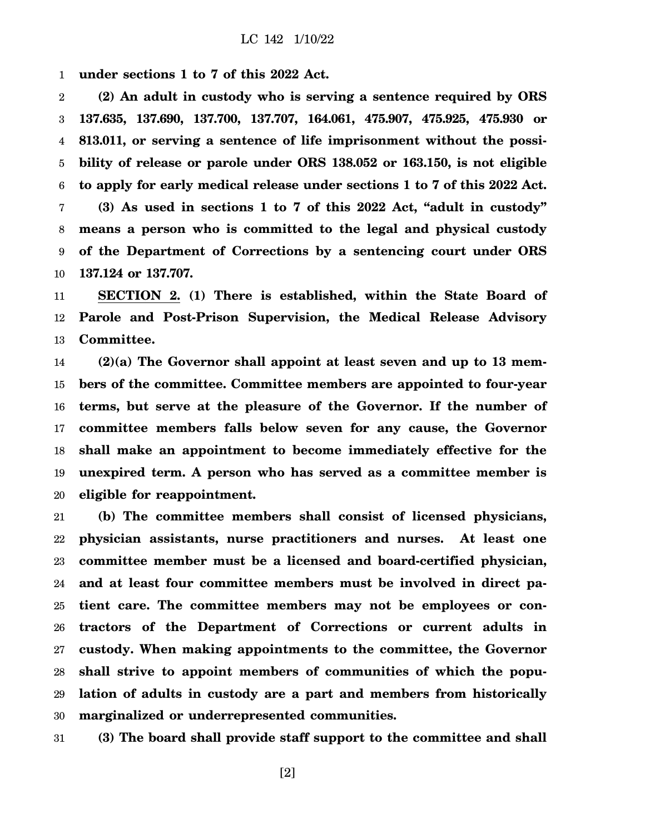1 **under sections 1 to 7 of this 2022 Act.**

2 3 4 5 6 7 8 9 10 **(2) An adult in custody who is serving a sentence required by ORS 137.635, 137.690, 137.700, 137.707, 164.061, 475.907, 475.925, 475.930 or 813.011, or serving a sentence of life imprisonment without the possibility of release or parole under ORS 138.052 or 163.150, is not eligible to apply for early medical release under sections 1 to 7 of this 2022 Act. (3) As used in sections 1 to 7 of this 2022 Act, "adult in custody" means a person who is committed to the legal and physical custody of the Department of Corrections by a sentencing court under ORS 137.124 or 137.707.**

11 12 13 **SECTION 2. (1) There is established, within the State Board of Parole and Post-Prison Supervision, the Medical Release Advisory Committee.**

14 15 16 17 18 19 20 **(2)(a) The Governor shall appoint at least seven and up to 13 members of the committee. Committee members are appointed to four-year terms, but serve at the pleasure of the Governor. If the number of committee members falls below seven for any cause, the Governor shall make an appointment to become immediately effective for the unexpired term. A person who has served as a committee member is eligible for reappointment.**

21 22 23 24 25 26 27 28 29 30 **(b) The committee members shall consist of licensed physicians, physician assistants, nurse practitioners and nurses. At least one committee member must be a licensed and board-certified physician, and at least four committee members must be involved in direct patient care. The committee members may not be employees or contractors of the Department of Corrections or current adults in custody. When making appointments to the committee, the Governor shall strive to appoint members of communities of which the population of adults in custody are a part and members from historically marginalized or underrepresented communities.**

31 **(3) The board shall provide staff support to the committee and shall**

[2]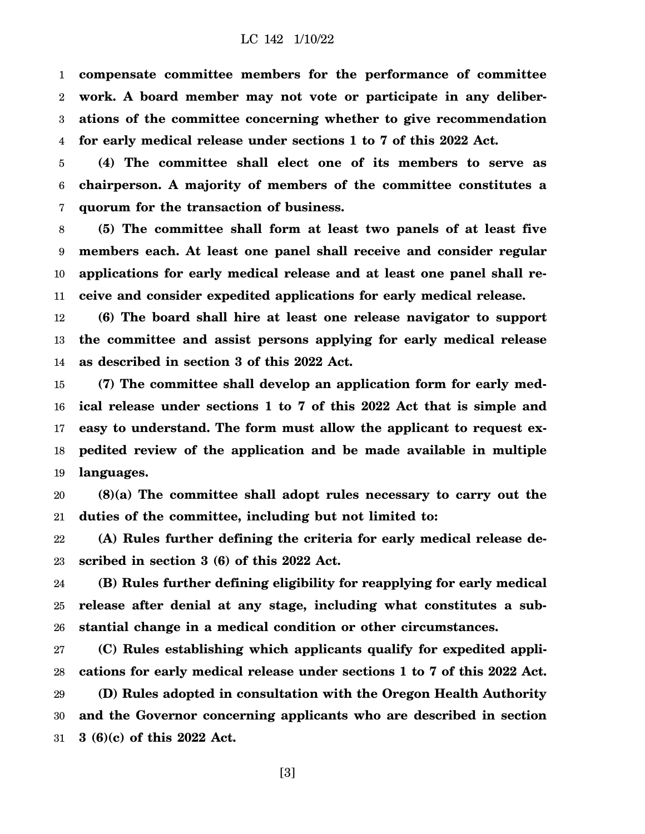1 2 3 4 **compensate committee members for the performance of committee work. A board member may not vote or participate in any deliberations of the committee concerning whether to give recommendation for early medical release under sections 1 to 7 of this 2022 Act.**

5 6 7 **(4) The committee shall elect one of its members to serve as chairperson. A majority of members of the committee constitutes a quorum for the transaction of business.**

8 9 10 11 **(5) The committee shall form at least two panels of at least five members each. At least one panel shall receive and consider regular applications for early medical release and at least one panel shall receive and consider expedited applications for early medical release.**

12 13 14 **(6) The board shall hire at least one release navigator to support the committee and assist persons applying for early medical release as described in section 3 of this 2022 Act.**

15 16 17 18 19 **(7) The committee shall develop an application form for early medical release under sections 1 to 7 of this 2022 Act that is simple and easy to understand. The form must allow the applicant to request expedited review of the application and be made available in multiple languages.**

20 21 **(8)(a) The committee shall adopt rules necessary to carry out the duties of the committee, including but not limited to:**

22 23 **(A) Rules further defining the criteria for early medical release described in section 3 (6) of this 2022 Act.**

24 25 26 **(B) Rules further defining eligibility for reapplying for early medical release after denial at any stage, including what constitutes a substantial change in a medical condition or other circumstances.**

27 28 29 30 31 **(C) Rules establishing which applicants qualify for expedited applications for early medical release under sections 1 to 7 of this 2022 Act. (D) Rules adopted in consultation with the Oregon Health Authority and the Governor concerning applicants who are described in section 3 (6)(c) of this 2022 Act.**

[3]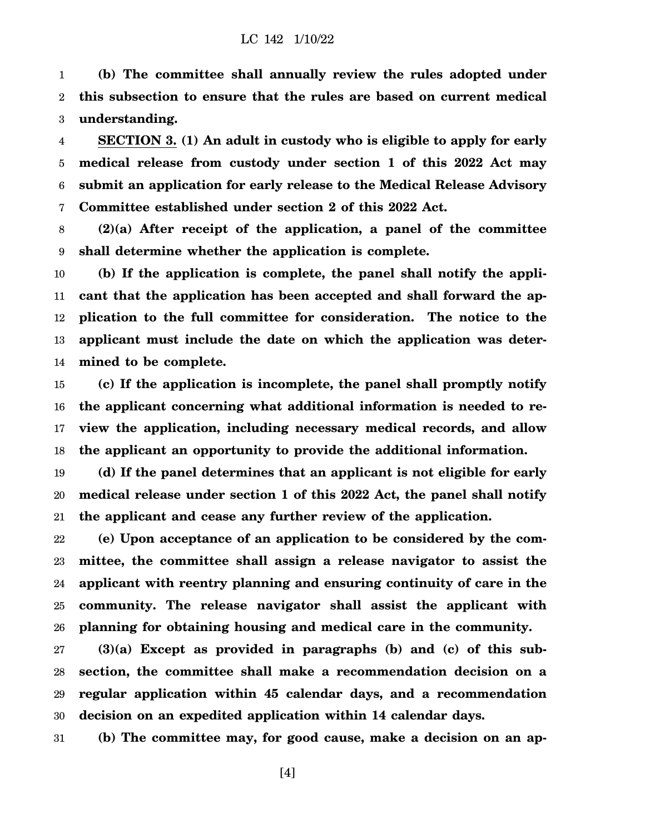1 2 3 **(b) The committee shall annually review the rules adopted under this subsection to ensure that the rules are based on current medical understanding.**

4 5 6 7 **SECTION 3. (1) An adult in custody who is eligible to apply for early medical release from custody under section 1 of this 2022 Act may submit an application for early release to the Medical Release Advisory Committee established under section 2 of this 2022 Act.**

8 9 **(2)(a) After receipt of the application, a panel of the committee shall determine whether the application is complete.**

10 11 12 13 14 **(b) If the application is complete, the panel shall notify the applicant that the application has been accepted and shall forward the application to the full committee for consideration. The notice to the applicant must include the date on which the application was determined to be complete.**

15 16 17 18 **(c) If the application is incomplete, the panel shall promptly notify the applicant concerning what additional information is needed to review the application, including necessary medical records, and allow the applicant an opportunity to provide the additional information.**

19 20 21 **(d) If the panel determines that an applicant is not eligible for early medical release under section 1 of this 2022 Act, the panel shall notify the applicant and cease any further review of the application.**

22 23 24 25 26 **(e) Upon acceptance of an application to be considered by the committee, the committee shall assign a release navigator to assist the applicant with reentry planning and ensuring continuity of care in the community. The release navigator shall assist the applicant with planning for obtaining housing and medical care in the community.**

27 28 29 30 **(3)(a) Except as provided in paragraphs (b) and (c) of this subsection, the committee shall make a recommendation decision on a regular application within 45 calendar days, and a recommendation decision on an expedited application within 14 calendar days.**

31 **(b) The committee may, for good cause, make a decision on an ap-**

[4]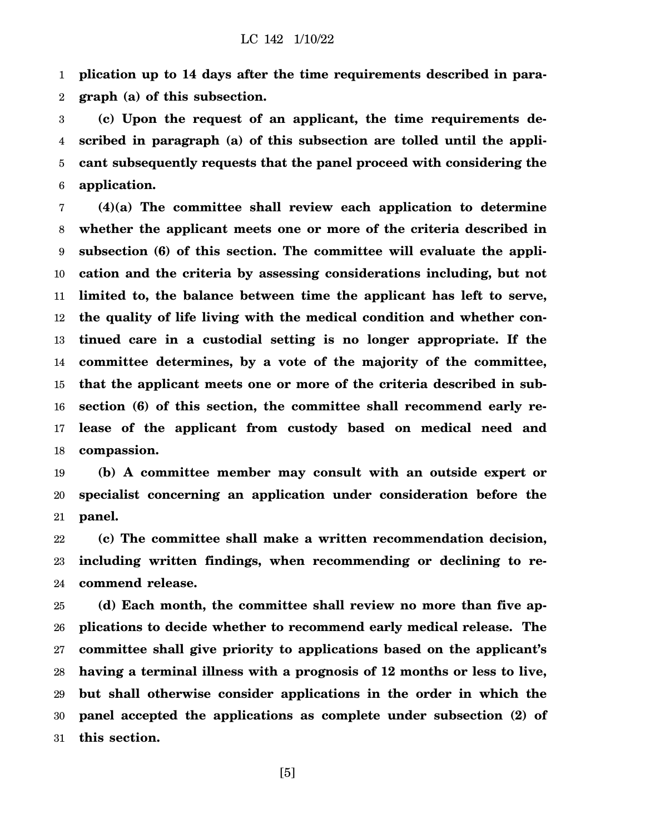1 2 **plication up to 14 days after the time requirements described in paragraph (a) of this subsection.**

3 4 5 6 **(c) Upon the request of an applicant, the time requirements described in paragraph (a) of this subsection are tolled until the applicant subsequently requests that the panel proceed with considering the application.**

7 8 9 10 11 12 13 14 15 16 17 18 **(4)(a) The committee shall review each application to determine whether the applicant meets one or more of the criteria described in subsection (6) of this section. The committee will evaluate the application and the criteria by assessing considerations including, but not limited to, the balance between time the applicant has left to serve, the quality of life living with the medical condition and whether continued care in a custodial setting is no longer appropriate. If the committee determines, by a vote of the majority of the committee, that the applicant meets one or more of the criteria described in subsection (6) of this section, the committee shall recommend early release of the applicant from custody based on medical need and compassion.**

19 20 21 **(b) A committee member may consult with an outside expert or specialist concerning an application under consideration before the panel.**

22 23 24 **(c) The committee shall make a written recommendation decision, including written findings, when recommending or declining to recommend release.**

25 26 27 28 29 30 31 **(d) Each month, the committee shall review no more than five applications to decide whether to recommend early medical release. The committee shall give priority to applications based on the applicant's having a terminal illness with a prognosis of 12 months or less to live, but shall otherwise consider applications in the order in which the panel accepted the applications as complete under subsection (2) of this section.**

[5]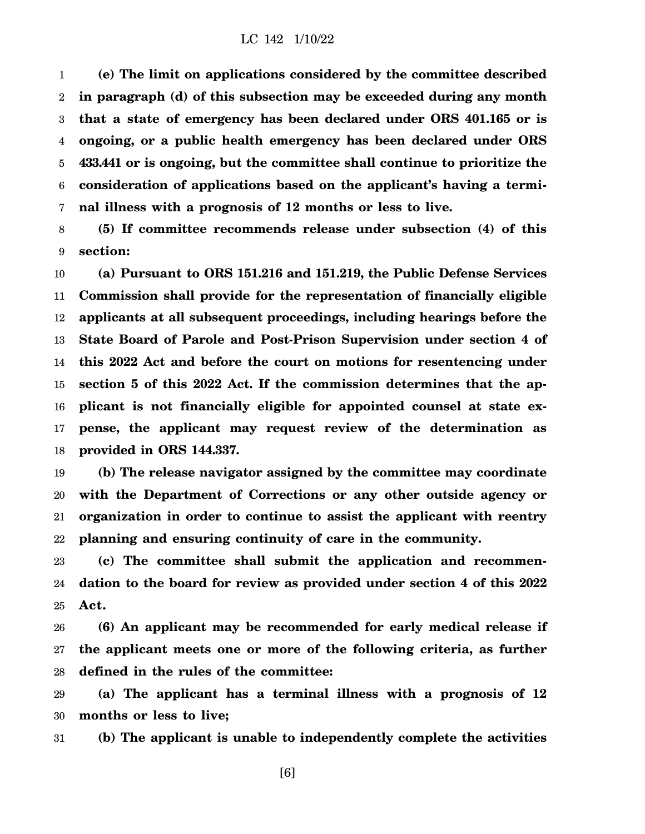1 2 3 4 5 6 7 **(e) The limit on applications considered by the committee described in paragraph (d) of this subsection may be exceeded during any month that a state of emergency has been declared under ORS 401.165 or is ongoing, or a public health emergency has been declared under ORS 433.441 or is ongoing, but the committee shall continue to prioritize the consideration of applications based on the applicant's having a terminal illness with a prognosis of 12 months or less to live.**

8 9 **(5) If committee recommends release under subsection (4) of this section:**

10 11 12 13 14 15 16 17 18 **(a) Pursuant to ORS 151.216 and 151.219, the Public Defense Services Commission shall provide for the representation of financially eligible applicants at all subsequent proceedings, including hearings before the State Board of Parole and Post-Prison Supervision under section 4 of this 2022 Act and before the court on motions for resentencing under section 5 of this 2022 Act. If the commission determines that the applicant is not financially eligible for appointed counsel at state expense, the applicant may request review of the determination as provided in ORS 144.337.**

19 20 21 22 **(b) The release navigator assigned by the committee may coordinate with the Department of Corrections or any other outside agency or organization in order to continue to assist the applicant with reentry planning and ensuring continuity of care in the community.**

23 24 25 **(c) The committee shall submit the application and recommendation to the board for review as provided under section 4 of this 2022 Act.**

26 27 28 **(6) An applicant may be recommended for early medical release if the applicant meets one or more of the following criteria, as further defined in the rules of the committee:**

29 30 **(a) The applicant has a terminal illness with a prognosis of 12 months or less to live;**

31 **(b) The applicant is unable to independently complete the activities**

[6]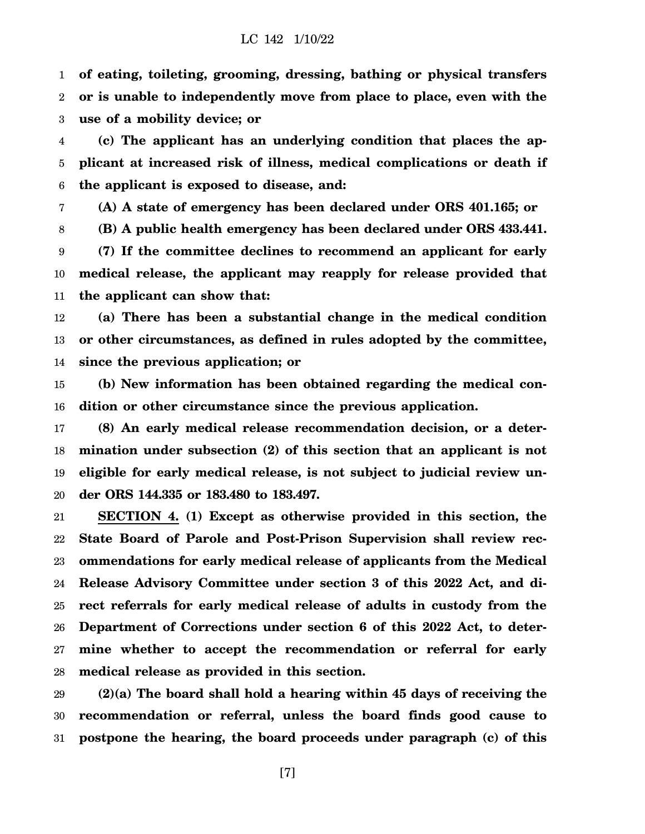1 2 3 **of eating, toileting, grooming, dressing, bathing or physical transfers or is unable to independently move from place to place, even with the use of a mobility device; or**

4 5 6 **(c) The applicant has an underlying condition that places the applicant at increased risk of illness, medical complications or death if the applicant is exposed to disease, and:**

7 **(A) A state of emergency has been declared under ORS 401.165; or**

8 9 10 11 **(B) A public health emergency has been declared under ORS 433.441. (7) If the committee declines to recommend an applicant for early medical release, the applicant may reapply for release provided that the applicant can show that:**

12 13 14 **(a) There has been a substantial change in the medical condition or other circumstances, as defined in rules adopted by the committee, since the previous application; or**

15 16 **(b) New information has been obtained regarding the medical condition or other circumstance since the previous application.**

17 18 19 20 **(8) An early medical release recommendation decision, or a determination under subsection (2) of this section that an applicant is not eligible for early medical release, is not subject to judicial review under ORS 144.335 or 183.480 to 183.497.**

21 22 23 24 25 26 27 28 **SECTION 4. (1) Except as otherwise provided in this section, the State Board of Parole and Post-Prison Supervision shall review recommendations for early medical release of applicants from the Medical Release Advisory Committee under section 3 of this 2022 Act, and direct referrals for early medical release of adults in custody from the Department of Corrections under section 6 of this 2022 Act, to determine whether to accept the recommendation or referral for early medical release as provided in this section.**

29 30 31 **(2)(a) The board shall hold a hearing within 45 days of receiving the recommendation or referral, unless the board finds good cause to postpone the hearing, the board proceeds under paragraph (c) of this**

[7]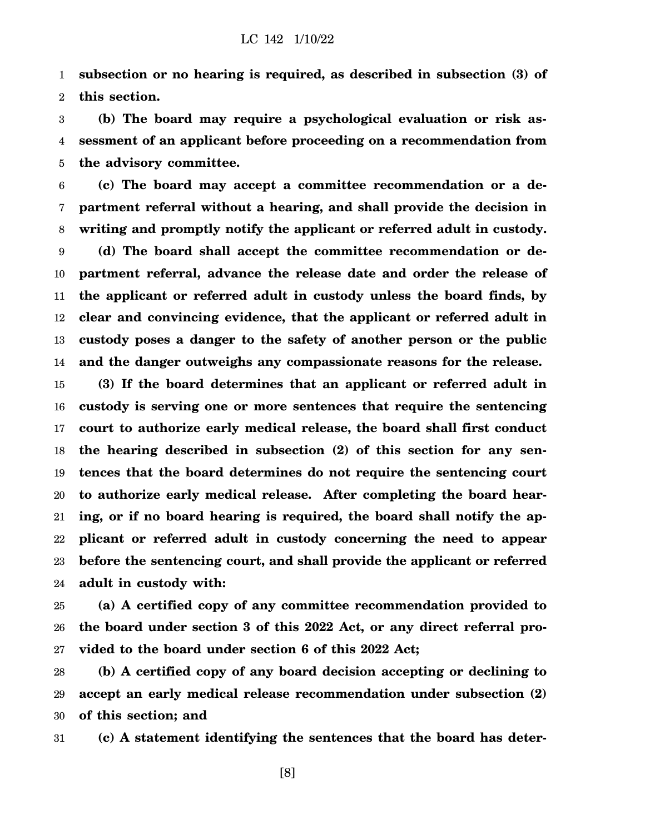1 2 **subsection or no hearing is required, as described in subsection (3) of this section.**

3 4 5 **(b) The board may require a psychological evaluation or risk assessment of an applicant before proceeding on a recommendation from the advisory committee.**

6 7 8 9 10 11 12 13 14 **(c) The board may accept a committee recommendation or a department referral without a hearing, and shall provide the decision in writing and promptly notify the applicant or referred adult in custody. (d) The board shall accept the committee recommendation or department referral, advance the release date and order the release of the applicant or referred adult in custody unless the board finds, by clear and convincing evidence, that the applicant or referred adult in custody poses a danger to the safety of another person or the public and the danger outweighs any compassionate reasons for the release.**

15 16 17 18 19 20 21 22 23 24 **(3) If the board determines that an applicant or referred adult in custody is serving one or more sentences that require the sentencing court to authorize early medical release, the board shall first conduct the hearing described in subsection (2) of this section for any sentences that the board determines do not require the sentencing court to authorize early medical release. After completing the board hearing, or if no board hearing is required, the board shall notify the applicant or referred adult in custody concerning the need to appear before the sentencing court, and shall provide the applicant or referred adult in custody with:**

25 26 27 **(a) A certified copy of any committee recommendation provided to the board under section 3 of this 2022 Act, or any direct referral provided to the board under section 6 of this 2022 Act;**

28 29 30 **(b) A certified copy of any board decision accepting or declining to accept an early medical release recommendation under subsection (2) of this section; and**

31 **(c) A statement identifying the sentences that the board has deter-**

[8]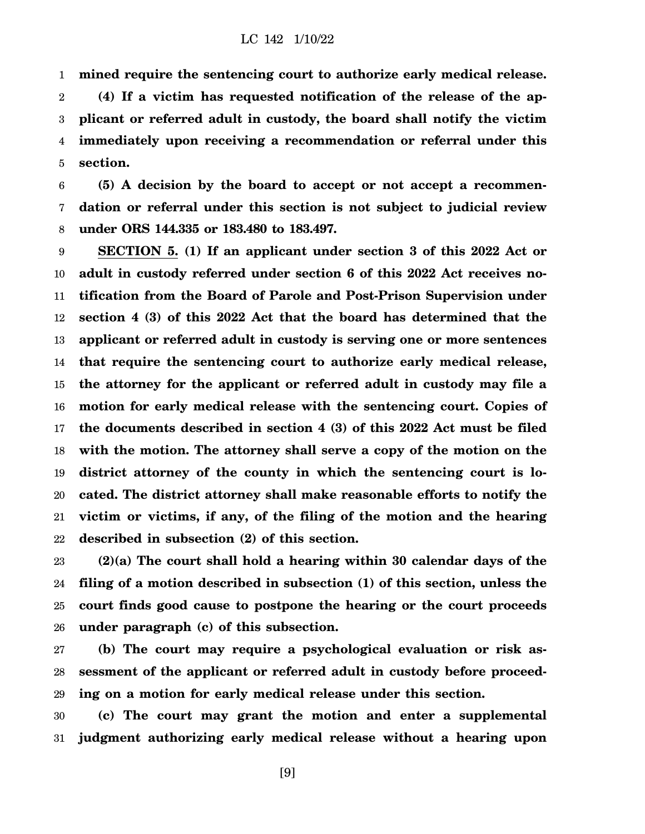1 **mined require the sentencing court to authorize early medical release.**

2 3 4 5 **(4) If a victim has requested notification of the release of the applicant or referred adult in custody, the board shall notify the victim immediately upon receiving a recommendation or referral under this section.**

6 7 8 **(5) A decision by the board to accept or not accept a recommendation or referral under this section is not subject to judicial review under ORS 144.335 or 183.480 to 183.497.**

9 10 11 12 13 14 15 16 17 18 19 20 21 22 **SECTION 5. (1) If an applicant under section 3 of this 2022 Act or adult in custody referred under section 6 of this 2022 Act receives notification from the Board of Parole and Post-Prison Supervision under section 4 (3) of this 2022 Act that the board has determined that the applicant or referred adult in custody is serving one or more sentences that require the sentencing court to authorize early medical release, the attorney for the applicant or referred adult in custody may file a motion for early medical release with the sentencing court. Copies of the documents described in section 4 (3) of this 2022 Act must be filed with the motion. The attorney shall serve a copy of the motion on the district attorney of the county in which the sentencing court is located. The district attorney shall make reasonable efforts to notify the victim or victims, if any, of the filing of the motion and the hearing described in subsection (2) of this section.**

23 24 25 26 **(2)(a) The court shall hold a hearing within 30 calendar days of the filing of a motion described in subsection (1) of this section, unless the court finds good cause to postpone the hearing or the court proceeds under paragraph (c) of this subsection.**

27 28 29 **(b) The court may require a psychological evaluation or risk assessment of the applicant or referred adult in custody before proceeding on a motion for early medical release under this section.**

30 31 **(c) The court may grant the motion and enter a supplemental judgment authorizing early medical release without a hearing upon**

[9]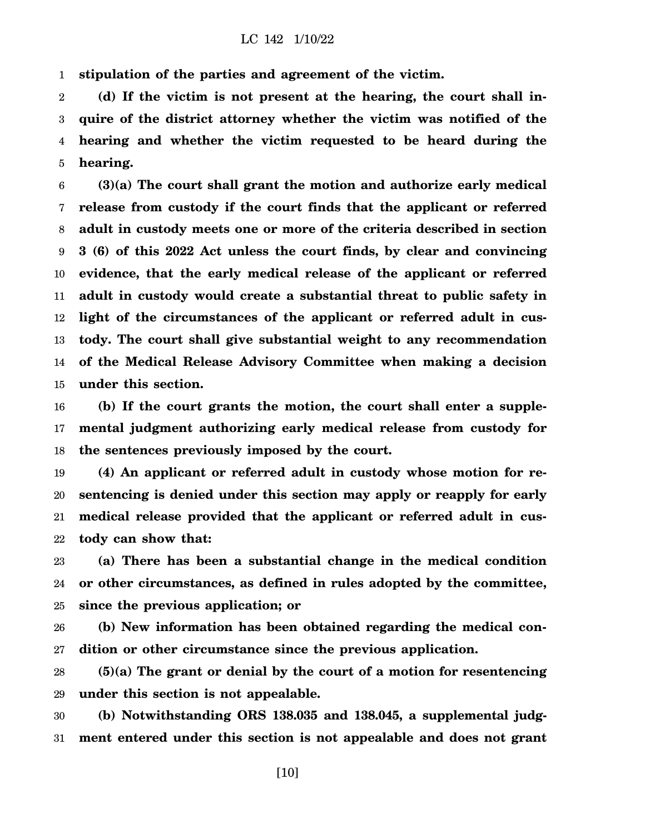1 **stipulation of the parties and agreement of the victim.**

2 3 4 5 **(d) If the victim is not present at the hearing, the court shall inquire of the district attorney whether the victim was notified of the hearing and whether the victim requested to be heard during the hearing.**

6 7 8 9 10 11 12 13 14 15 **(3)(a) The court shall grant the motion and authorize early medical release from custody if the court finds that the applicant or referred adult in custody meets one or more of the criteria described in section 3 (6) of this 2022 Act unless the court finds, by clear and convincing evidence, that the early medical release of the applicant or referred adult in custody would create a substantial threat to public safety in light of the circumstances of the applicant or referred adult in custody. The court shall give substantial weight to any recommendation of the Medical Release Advisory Committee when making a decision under this section.**

16 17 18 **(b) If the court grants the motion, the court shall enter a supplemental judgment authorizing early medical release from custody for the sentences previously imposed by the court.**

19 20 21 22 **(4) An applicant or referred adult in custody whose motion for resentencing is denied under this section may apply or reapply for early medical release provided that the applicant or referred adult in custody can show that:**

23 24 25 **(a) There has been a substantial change in the medical condition or other circumstances, as defined in rules adopted by the committee, since the previous application; or**

26 27 **(b) New information has been obtained regarding the medical condition or other circumstance since the previous application.**

28 29 **(5)(a) The grant or denial by the court of a motion for resentencing under this section is not appealable.**

30 31 **(b) Notwithstanding ORS 138.035 and 138.045, a supplemental judgment entered under this section is not appealable and does not grant**

[10]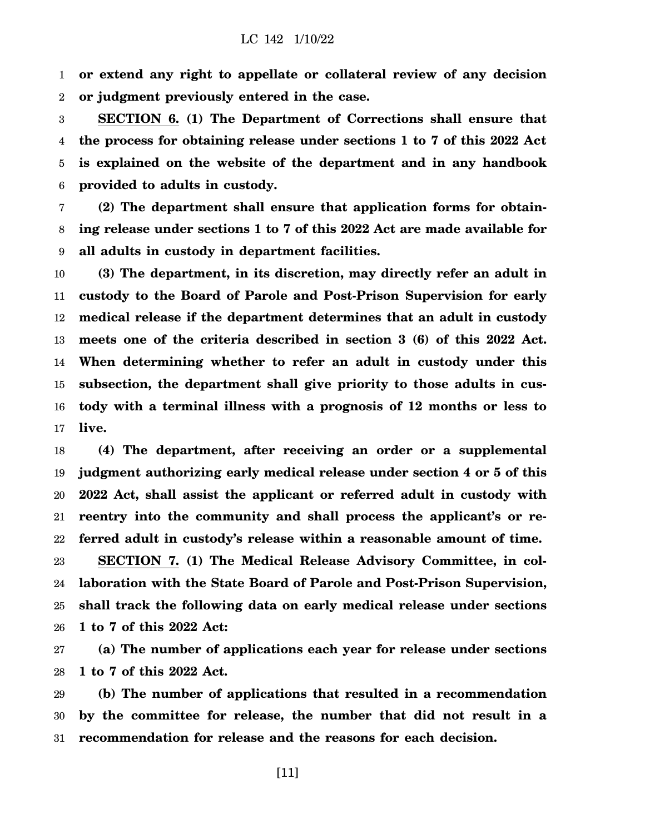1 2 **or extend any right to appellate or collateral review of any decision or judgment previously entered in the case.**

3 4 5 6 **SECTION 6. (1) The Department of Corrections shall ensure that the process for obtaining release under sections 1 to 7 of this 2022 Act is explained on the website of the department and in any handbook provided to adults in custody.**

7 8 9 **(2) The department shall ensure that application forms for obtaining release under sections 1 to 7 of this 2022 Act are made available for all adults in custody in department facilities.**

10 11 12 13 14 15 16 17 **(3) The department, in its discretion, may directly refer an adult in custody to the Board of Parole and Post-Prison Supervision for early medical release if the department determines that an adult in custody meets one of the criteria described in section 3 (6) of this 2022 Act. When determining whether to refer an adult in custody under this subsection, the department shall give priority to those adults in custody with a terminal illness with a prognosis of 12 months or less to live.**

18 19 20 21 22 **(4) The department, after receiving an order or a supplemental judgment authorizing early medical release under section 4 or 5 of this 2022 Act, shall assist the applicant or referred adult in custody with reentry into the community and shall process the applicant's or referred adult in custody's release within a reasonable amount of time.**

23 24 25 26 **SECTION 7. (1) The Medical Release Advisory Committee, in collaboration with the State Board of Parole and Post-Prison Supervision, shall track the following data on early medical release under sections 1 to 7 of this 2022 Act:**

27 28 **(a) The number of applications each year for release under sections 1 to 7 of this 2022 Act.**

29 30 31 **(b) The number of applications that resulted in a recommendation by the committee for release, the number that did not result in a recommendation for release and the reasons for each decision.**

[11]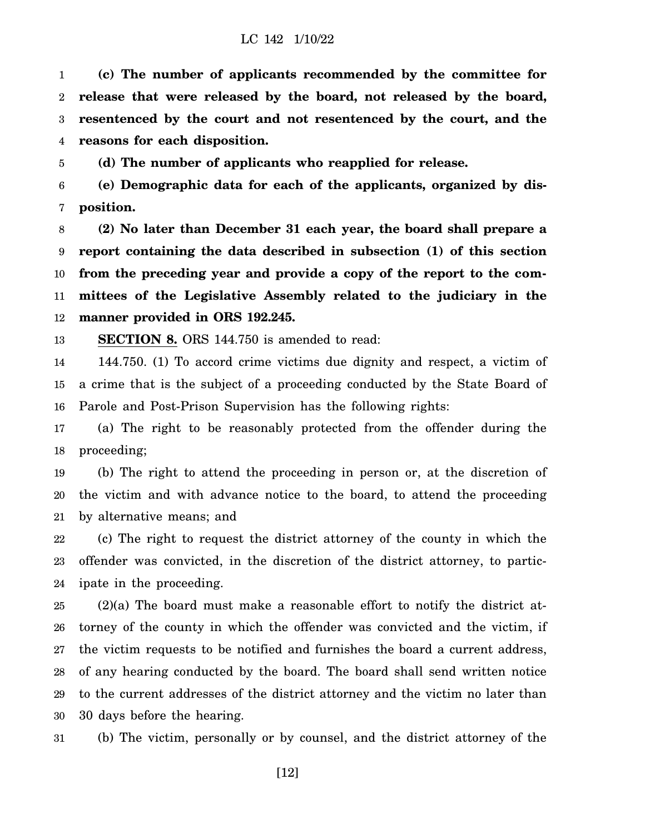1 2 3 4 **(c) The number of applicants recommended by the committee for release that were released by the board, not released by the board, resentenced by the court and not resentenced by the court, and the reasons for each disposition.**

5 **(d) The number of applicants who reapplied for release.**

6 7 **(e) Demographic data for each of the applicants, organized by disposition.**

8 9 10 11 12 **(2) No later than December 31 each year, the board shall prepare a report containing the data described in subsection (1) of this section from the preceding year and provide a copy of the report to the committees of the Legislative Assembly related to the judiciary in the manner provided in ORS 192.245.**

13 **SECTION 8.** ORS 144.750 is amended to read:

14 15 16 144.750. (1) To accord crime victims due dignity and respect, a victim of a crime that is the subject of a proceeding conducted by the State Board of Parole and Post-Prison Supervision has the following rights:

17 18 (a) The right to be reasonably protected from the offender during the proceeding;

19 20 21 (b) The right to attend the proceeding in person or, at the discretion of the victim and with advance notice to the board, to attend the proceeding by alternative means; and

22 23 24 (c) The right to request the district attorney of the county in which the offender was convicted, in the discretion of the district attorney, to participate in the proceeding.

25 26 27 28 29 30 (2)(a) The board must make a reasonable effort to notify the district attorney of the county in which the offender was convicted and the victim, if the victim requests to be notified and furnishes the board a current address, of any hearing conducted by the board. The board shall send written notice to the current addresses of the district attorney and the victim no later than 30 days before the hearing.

31 (b) The victim, personally or by counsel, and the district attorney of the

[12]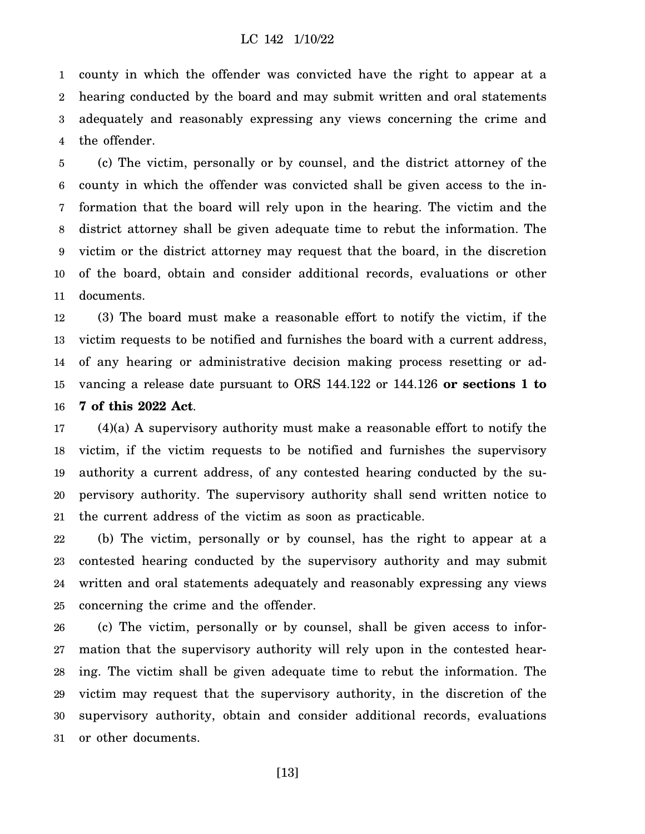1 2 3 4 county in which the offender was convicted have the right to appear at a hearing conducted by the board and may submit written and oral statements adequately and reasonably expressing any views concerning the crime and the offender.

5 6 7 8 9 10 11 (c) The victim, personally or by counsel, and the district attorney of the county in which the offender was convicted shall be given access to the information that the board will rely upon in the hearing. The victim and the district attorney shall be given adequate time to rebut the information. The victim or the district attorney may request that the board, in the discretion of the board, obtain and consider additional records, evaluations or other documents.

12 13 14 15 16 (3) The board must make a reasonable effort to notify the victim, if the victim requests to be notified and furnishes the board with a current address, of any hearing or administrative decision making process resetting or advancing a release date pursuant to ORS 144.122 or 144.126 **or sections 1 to 7 of this 2022 Act**.

17 18 19 20 21 (4)(a) A supervisory authority must make a reasonable effort to notify the victim, if the victim requests to be notified and furnishes the supervisory authority a current address, of any contested hearing conducted by the supervisory authority. The supervisory authority shall send written notice to the current address of the victim as soon as practicable.

22 23 24 25 (b) The victim, personally or by counsel, has the right to appear at a contested hearing conducted by the supervisory authority and may submit written and oral statements adequately and reasonably expressing any views concerning the crime and the offender.

26 27 28 29 30 31 (c) The victim, personally or by counsel, shall be given access to information that the supervisory authority will rely upon in the contested hearing. The victim shall be given adequate time to rebut the information. The victim may request that the supervisory authority, in the discretion of the supervisory authority, obtain and consider additional records, evaluations or other documents.

[13]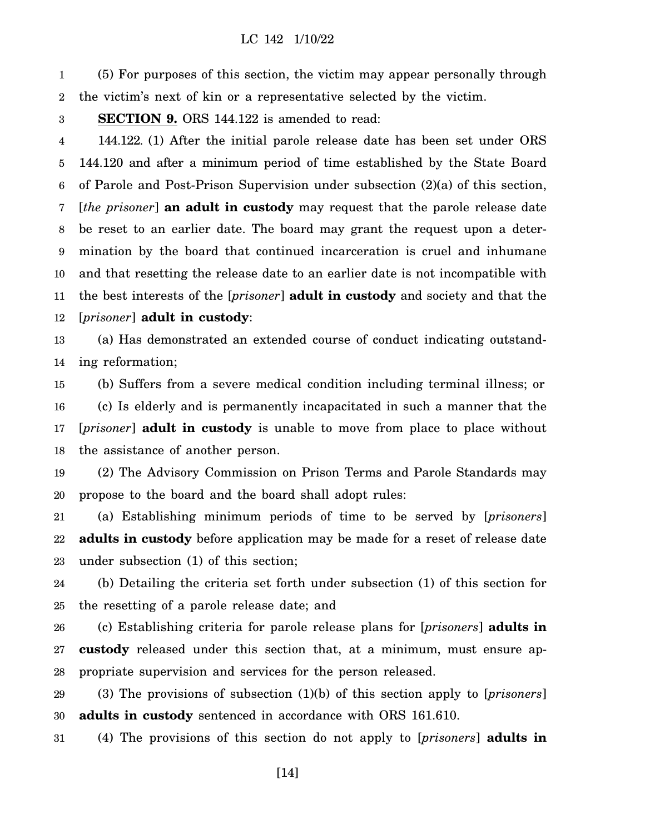1 2 (5) For purposes of this section, the victim may appear personally through the victim's next of kin or a representative selected by the victim.

#### 3 **SECTION 9.** ORS 144.122 is amended to read:

4 5 6 7 8 9 10 11 12 144.122. (1) After the initial parole release date has been set under ORS 144.120 and after a minimum period of time established by the State Board of Parole and Post-Prison Supervision under subsection (2)(a) of this section, [*the prisoner*] **an adult in custody** may request that the parole release date be reset to an earlier date. The board may grant the request upon a determination by the board that continued incarceration is cruel and inhumane and that resetting the release date to an earlier date is not incompatible with the best interests of the [*prisoner*] **adult in custody** and society and that the [*prisoner*] **adult in custody**:

13 14 (a) Has demonstrated an extended course of conduct indicating outstanding reformation;

15 16 17 18 (b) Suffers from a severe medical condition including terminal illness; or (c) Is elderly and is permanently incapacitated in such a manner that the [*prisoner*] **adult in custody** is unable to move from place to place without the assistance of another person.

19 20 (2) The Advisory Commission on Prison Terms and Parole Standards may propose to the board and the board shall adopt rules:

21 22 23 (a) Establishing minimum periods of time to be served by [*prisoners*] **adults in custody** before application may be made for a reset of release date under subsection (1) of this section;

24 25 (b) Detailing the criteria set forth under subsection (1) of this section for the resetting of a parole release date; and

26 27 28 (c) Establishing criteria for parole release plans for [*prisoners*] **adults in custody** released under this section that, at a minimum, must ensure appropriate supervision and services for the person released.

29 30 (3) The provisions of subsection (1)(b) of this section apply to [*prisoners*] **adults in custody** sentenced in accordance with ORS 161.610.

31 (4) The provisions of this section do not apply to [*prisoners*] **adults in**

[14]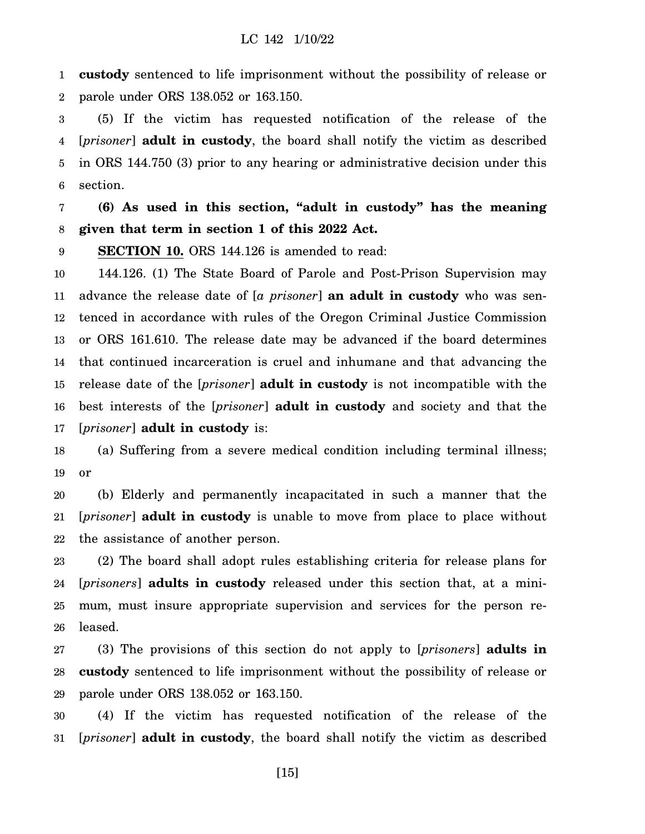1 2 **custody** sentenced to life imprisonment without the possibility of release or parole under ORS 138.052 or 163.150.

3 4 5 6 (5) If the victim has requested notification of the release of the [*prisoner*] **adult in custody**, the board shall notify the victim as described in ORS 144.750 (3) prior to any hearing or administrative decision under this section.

7 8 **(6) As used in this section, "adult in custody" has the meaning given that term in section 1 of this 2022 Act.**

9 **SECTION 10.** ORS 144.126 is amended to read:

10 11 12 13 14 15 16 17 144.126. (1) The State Board of Parole and Post-Prison Supervision may advance the release date of [*a prisoner*] **an adult in custody** who was sentenced in accordance with rules of the Oregon Criminal Justice Commission or ORS 161.610. The release date may be advanced if the board determines that continued incarceration is cruel and inhumane and that advancing the release date of the [*prisoner*] **adult in custody** is not incompatible with the best interests of the [*prisoner*] **adult in custody** and society and that the [*prisoner*] **adult in custody** is:

18 19 (a) Suffering from a severe medical condition including terminal illness; or

20 21 22 (b) Elderly and permanently incapacitated in such a manner that the [*prisoner*] **adult in custody** is unable to move from place to place without the assistance of another person.

23 24 25 26 (2) The board shall adopt rules establishing criteria for release plans for [*prisoners*] **adults in custody** released under this section that, at a minimum, must insure appropriate supervision and services for the person released.

27 28 29 (3) The provisions of this section do not apply to [*prisoners*] **adults in custody** sentenced to life imprisonment without the possibility of release or parole under ORS 138.052 or 163.150.

30 31 (4) If the victim has requested notification of the release of the [*prisoner*] **adult in custody**, the board shall notify the victim as described

[15]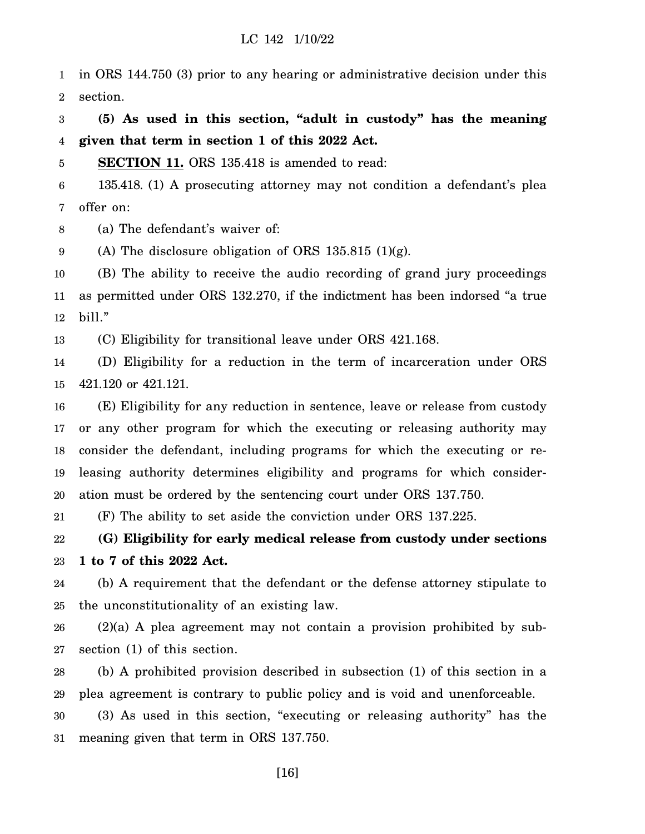1 2 in ORS 144.750 (3) prior to any hearing or administrative decision under this section.

3 4 **(5) As used in this section, "adult in custody" has the meaning given that term in section 1 of this 2022 Act.**

5 **SECTION 11.** ORS 135.418 is amended to read:

6 7 135.418. (1) A prosecuting attorney may not condition a defendant's plea offer on:

8 (a) The defendant's waiver of:

9 (A) The disclosure obligation of ORS 135.815 (1)(g).

10 11 12 (B) The ability to receive the audio recording of grand jury proceedings as permitted under ORS 132.270, if the indictment has been indorsed "a true bill."

13 (C) Eligibility for transitional leave under ORS 421.168.

14 15 (D) Eligibility for a reduction in the term of incarceration under ORS 421.120 or 421.121.

16 17 18 19 20 (E) Eligibility for any reduction in sentence, leave or release from custody or any other program for which the executing or releasing authority may consider the defendant, including programs for which the executing or releasing authority determines eligibility and programs for which consideration must be ordered by the sentencing court under ORS 137.750.

21 (F) The ability to set aside the conviction under ORS 137.225.

22 23 **(G) Eligibility for early medical release from custody under sections 1 to 7 of this 2022 Act.**

24 25 (b) A requirement that the defendant or the defense attorney stipulate to the unconstitutionality of an existing law.

26 27 (2)(a) A plea agreement may not contain a provision prohibited by subsection (1) of this section.

28 29 30 31 (b) A prohibited provision described in subsection (1) of this section in a plea agreement is contrary to public policy and is void and unenforceable. (3) As used in this section, "executing or releasing authority" has the meaning given that term in ORS 137.750.

[16]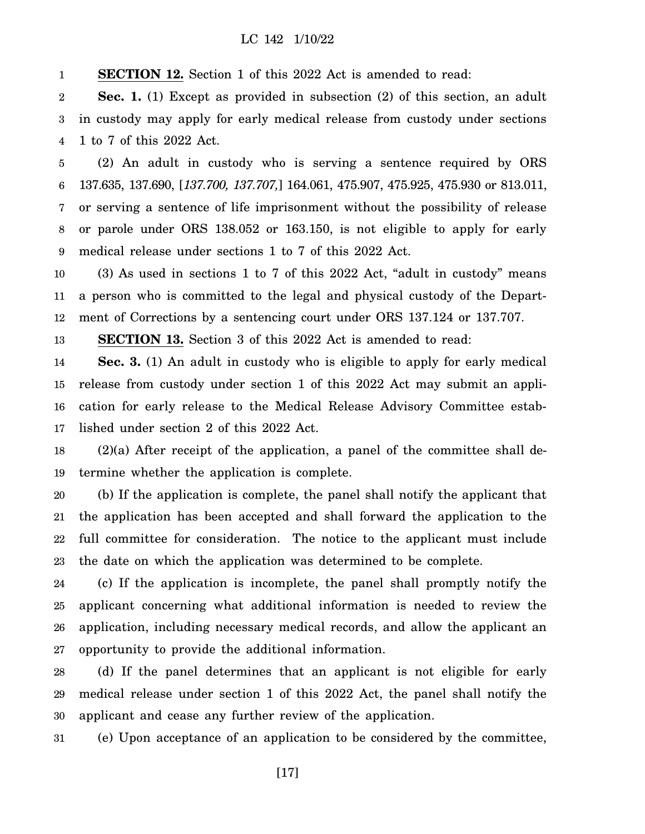1 **SECTION 12.** Section 1 of this 2022 Act is amended to read:

2 3 4 **Sec. 1.** (1) Except as provided in subsection (2) of this section, an adult in custody may apply for early medical release from custody under sections 1 to 7 of this 2022 Act.

5 6 7 8 9 (2) An adult in custody who is serving a sentence required by ORS 137.635, 137.690, [*137.700, 137.707,*] 164.061, 475.907, 475.925, 475.930 or 813.011, or serving a sentence of life imprisonment without the possibility of release or parole under ORS 138.052 or 163.150, is not eligible to apply for early medical release under sections 1 to 7 of this 2022 Act.

10 11 12 (3) As used in sections 1 to 7 of this 2022 Act, "adult in custody" means a person who is committed to the legal and physical custody of the Department of Corrections by a sentencing court under ORS 137.124 or 137.707.

13 **SECTION 13.** Section 3 of this 2022 Act is amended to read:

14 15 16 17 **Sec. 3.** (1) An adult in custody who is eligible to apply for early medical release from custody under section 1 of this 2022 Act may submit an application for early release to the Medical Release Advisory Committee established under section 2 of this 2022 Act.

18 19 (2)(a) After receipt of the application, a panel of the committee shall determine whether the application is complete.

20 21 22 23 (b) If the application is complete, the panel shall notify the applicant that the application has been accepted and shall forward the application to the full committee for consideration. The notice to the applicant must include the date on which the application was determined to be complete.

24 25 26 27 (c) If the application is incomplete, the panel shall promptly notify the applicant concerning what additional information is needed to review the application, including necessary medical records, and allow the applicant an opportunity to provide the additional information.

28 29 30 (d) If the panel determines that an applicant is not eligible for early medical release under section 1 of this 2022 Act, the panel shall notify the applicant and cease any further review of the application.

31 (e) Upon acceptance of an application to be considered by the committee,

[17]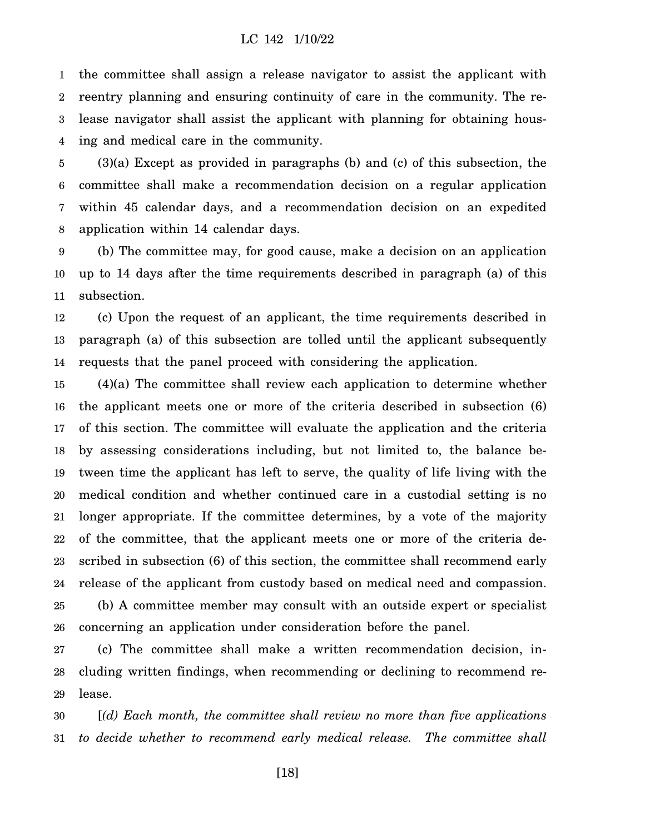1 2 3 4 the committee shall assign a release navigator to assist the applicant with reentry planning and ensuring continuity of care in the community. The release navigator shall assist the applicant with planning for obtaining housing and medical care in the community.

5 6 7 8 (3)(a) Except as provided in paragraphs (b) and (c) of this subsection, the committee shall make a recommendation decision on a regular application within 45 calendar days, and a recommendation decision on an expedited application within 14 calendar days.

9 10 11 (b) The committee may, for good cause, make a decision on an application up to 14 days after the time requirements described in paragraph (a) of this subsection.

12 13 14 (c) Upon the request of an applicant, the time requirements described in paragraph (a) of this subsection are tolled until the applicant subsequently requests that the panel proceed with considering the application.

15 16 17 18 19 20 21 22 23 24 25 26 (4)(a) The committee shall review each application to determine whether the applicant meets one or more of the criteria described in subsection (6) of this section. The committee will evaluate the application and the criteria by assessing considerations including, but not limited to, the balance between time the applicant has left to serve, the quality of life living with the medical condition and whether continued care in a custodial setting is no longer appropriate. If the committee determines, by a vote of the majority of the committee, that the applicant meets one or more of the criteria described in subsection (6) of this section, the committee shall recommend early release of the applicant from custody based on medical need and compassion. (b) A committee member may consult with an outside expert or specialist concerning an application under consideration before the panel.

27 28 29 (c) The committee shall make a written recommendation decision, including written findings, when recommending or declining to recommend release.

30 31 [*(d) Each month, the committee shall review no more than five applications to decide whether to recommend early medical release. The committee shall*

[18]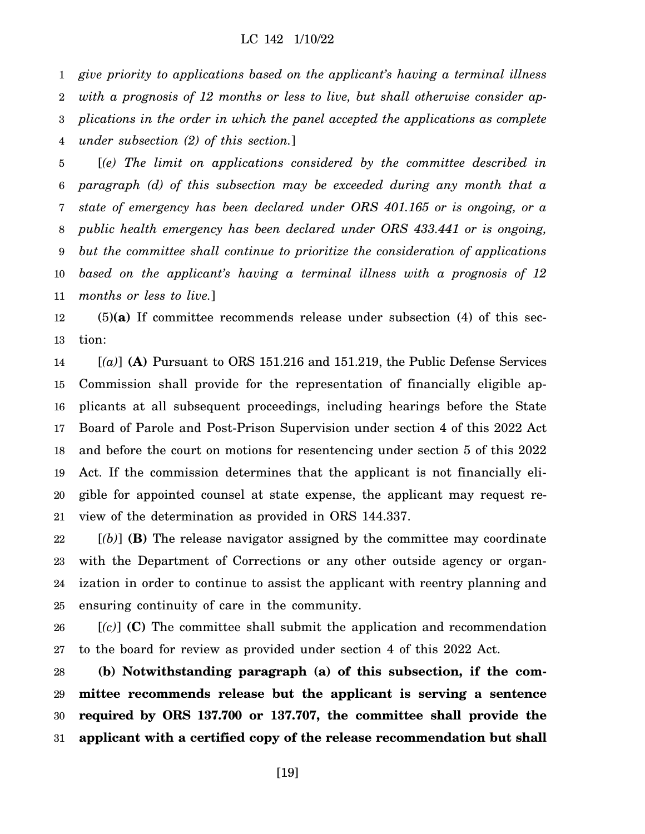1 2 3 4 *give priority to applications based on the applicant's having a terminal illness with a prognosis of 12 months or less to live, but shall otherwise consider applications in the order in which the panel accepted the applications as complete under subsection (2) of this section.*]

5 6 7 8 9 10 11 [*(e) The limit on applications considered by the committee described in paragraph (d) of this subsection may be exceeded during any month that a state of emergency has been declared under ORS 401.165 or is ongoing, or a public health emergency has been declared under ORS 433.441 or is ongoing, but the committee shall continue to prioritize the consideration of applications based on the applicant's having a terminal illness with a prognosis of 12 months or less to live.*]

12 13 (5)**(a)** If committee recommends release under subsection (4) of this section:

14 15 16 17 18 19 20 21  $[(a)]$  (A) Pursuant to ORS 151.216 and 151.219, the Public Defense Services Commission shall provide for the representation of financially eligible applicants at all subsequent proceedings, including hearings before the State Board of Parole and Post-Prison Supervision under section 4 of this 2022 Act and before the court on motions for resentencing under section 5 of this 2022 Act. If the commission determines that the applicant is not financially eligible for appointed counsel at state expense, the applicant may request review of the determination as provided in ORS 144.337.

22 23 24 25 [*(b)*] **(B)** The release navigator assigned by the committee may coordinate with the Department of Corrections or any other outside agency or organization in order to continue to assist the applicant with reentry planning and ensuring continuity of care in the community.

26 27 [*(c)*] **(C)** The committee shall submit the application and recommendation to the board for review as provided under section 4 of this 2022 Act.

28 29 30 31 **(b) Notwithstanding paragraph (a) of this subsection, if the committee recommends release but the applicant is serving a sentence required by ORS 137.700 or 137.707, the committee shall provide the applicant with a certified copy of the release recommendation but shall**

[19]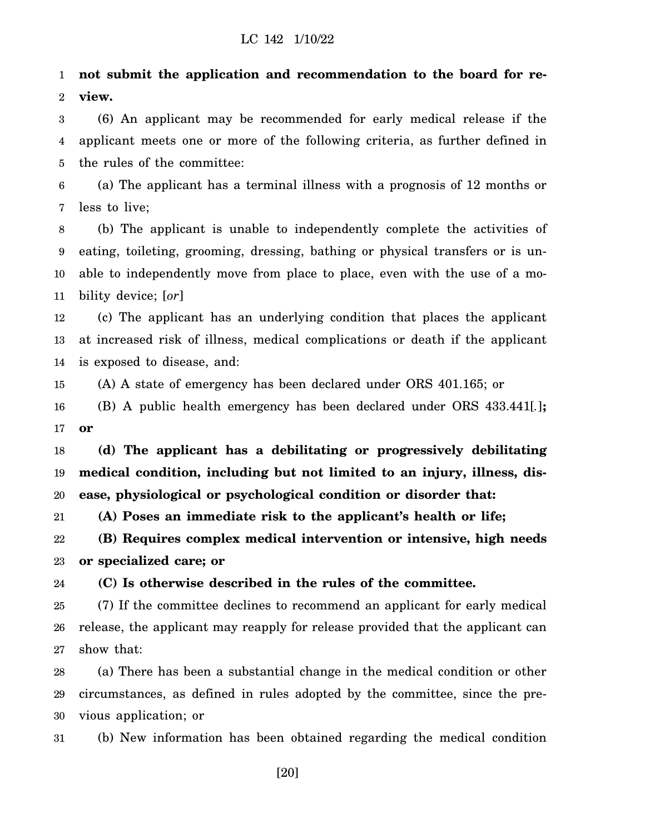1 2 **not submit the application and recommendation to the board for review.**

3 4 5 (6) An applicant may be recommended for early medical release if the applicant meets one or more of the following criteria, as further defined in the rules of the committee:

6 7 (a) The applicant has a terminal illness with a prognosis of 12 months or less to live;

8 9 10 11 (b) The applicant is unable to independently complete the activities of eating, toileting, grooming, dressing, bathing or physical transfers or is unable to independently move from place to place, even with the use of a mobility device; [*or*]

12 13 14 (c) The applicant has an underlying condition that places the applicant at increased risk of illness, medical complications or death if the applicant is exposed to disease, and:

15 (A) A state of emergency has been declared under ORS 401.165; or

16 17 (B) A public health emergency has been declared under ORS 433.441[*.*]**; or**

18 19 20 **(d) The applicant has a debilitating or progressively debilitating medical condition, including but not limited to an injury, illness, disease, physiological or psychological condition or disorder that:**

21 **(A) Poses an immediate risk to the applicant's health or life;**

22 23 **(B) Requires complex medical intervention or intensive, high needs or specialized care; or**

24 **(C) Is otherwise described in the rules of the committee.**

25 26 27 (7) If the committee declines to recommend an applicant for early medical release, the applicant may reapply for release provided that the applicant can show that:

28 29 30 (a) There has been a substantial change in the medical condition or other circumstances, as defined in rules adopted by the committee, since the previous application; or

31 (b) New information has been obtained regarding the medical condition

[20]